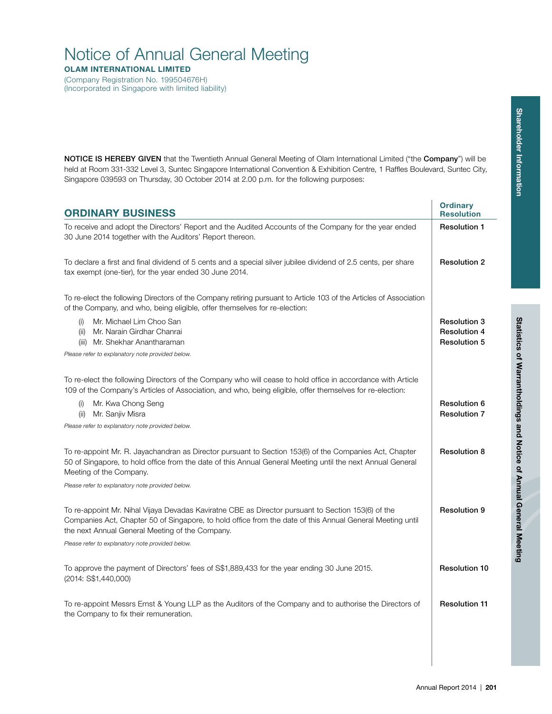# **Shareholder Information Shareholder Information**

# Notice of Annual General Meeting

**OLAM INTERNATIONAL LIMITED**

(Company Registration No. 199504676H) (Incorporated in Singapore with limited liability)

**NOTICE IS HEREBY GIVEN** that the Twentieth Annual General Meeting of Olam International Limited ("the **Company**") will be held at Room 331-332 Level 3, Suntec Singapore International Convention & Exhibition Centre, 1 Raffles Boulevard, Suntec City, Singapore 039593 on Thursday, 30 October 2014 at 2.00 p.m. for the following purposes:

| <b>ORDINARY BUSINESS</b>                                                                                                                                                                                                                                                                                               | <b>Ordinary</b><br><b>Resolution</b>                              |  |  |  |
|------------------------------------------------------------------------------------------------------------------------------------------------------------------------------------------------------------------------------------------------------------------------------------------------------------------------|-------------------------------------------------------------------|--|--|--|
| To receive and adopt the Directors' Report and the Audited Accounts of the Company for the year ended<br>30 June 2014 together with the Auditors' Report thereon.                                                                                                                                                      |                                                                   |  |  |  |
| To declare a first and final dividend of 5 cents and a special silver jubilee dividend of 2.5 cents, per share<br>tax exempt (one-tier), for the year ended 30 June 2014.                                                                                                                                              | <b>Resolution 2</b>                                               |  |  |  |
| To re-elect the following Directors of the Company retiring pursuant to Article 103 of the Articles of Association<br>of the Company, and who, being eligible, offer themselves for re-election:                                                                                                                       |                                                                   |  |  |  |
| Mr. Michael Lim Choo San<br>(i)<br>(ii) Mr. Narain Girdhar Chanrai<br>(iii) Mr. Shekhar Anantharaman                                                                                                                                                                                                                   | <b>Resolution 3</b><br><b>Resolution 4</b><br><b>Resolution 5</b> |  |  |  |
| Please refer to explanatory note provided below.                                                                                                                                                                                                                                                                       |                                                                   |  |  |  |
| To re-elect the following Directors of the Company who will cease to hold office in accordance with Article<br>109 of the Company's Articles of Association, and who, being eligible, offer themselves for re-election:                                                                                                |                                                                   |  |  |  |
| Mr. Kwa Chong Seng<br>(i)<br>(ii)<br>Mr. Sanjiv Misra                                                                                                                                                                                                                                                                  | <b>Resolution 6</b><br><b>Resolution 7</b>                        |  |  |  |
| Please refer to explanatory note provided below.                                                                                                                                                                                                                                                                       |                                                                   |  |  |  |
| To re-appoint Mr. R. Jayachandran as Director pursuant to Section 153(6) of the Companies Act, Chapter<br>50 of Singapore, to hold office from the date of this Annual General Meeting until the next Annual General<br>Meeting of the Company.                                                                        | <b>Resolution 8</b>                                               |  |  |  |
| Please refer to explanatory note provided below.                                                                                                                                                                                                                                                                       |                                                                   |  |  |  |
| To re-appoint Mr. Nihal Vijaya Devadas Kaviratne CBE as Director pursuant to Section 153(6) of the<br>Companies Act, Chapter 50 of Singapore, to hold office from the date of this Annual General Meeting until<br>the next Annual General Meeting of the Company.<br>Please refer to explanatory note provided below. | <b>Resolution 9</b>                                               |  |  |  |
| To approve the payment of Directors' fees of S\$1,889,433 for the year ending 30 June 2015.<br>(2014: S\$1,440,000)                                                                                                                                                                                                    | <b>Resolution 10</b>                                              |  |  |  |
| To re-appoint Messrs Ernst & Young LLP as the Auditors of the Company and to authorise the Directors of<br>the Company to fix their remuneration.                                                                                                                                                                      | <b>Resolution 11</b>                                              |  |  |  |
|                                                                                                                                                                                                                                                                                                                        |                                                                   |  |  |  |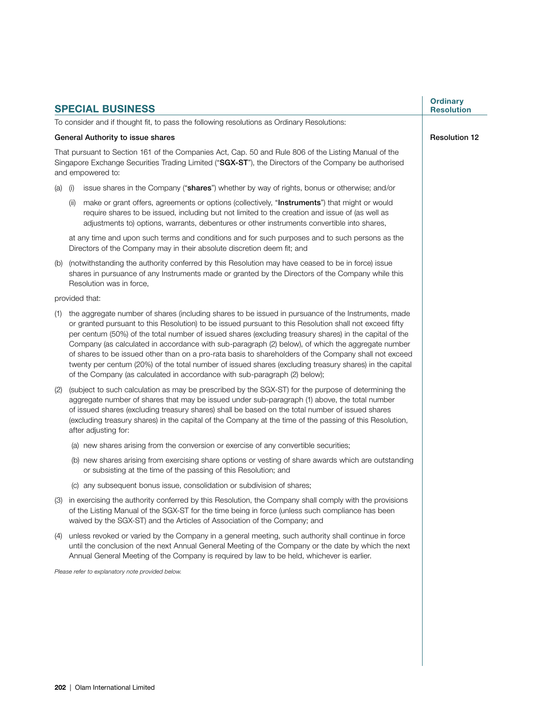|                                                                                                                                                                                                                                   |                                                                                                                                                                                                                                    | <b>SPECIAL BUSINESS</b>                                                                                                                                                                                                                                                                                                                                                                                                                                                                                                                                                                                                                                                                                                          | <b>Ordinary</b><br><b>Resolution</b> |  |
|-----------------------------------------------------------------------------------------------------------------------------------------------------------------------------------------------------------------------------------|------------------------------------------------------------------------------------------------------------------------------------------------------------------------------------------------------------------------------------|----------------------------------------------------------------------------------------------------------------------------------------------------------------------------------------------------------------------------------------------------------------------------------------------------------------------------------------------------------------------------------------------------------------------------------------------------------------------------------------------------------------------------------------------------------------------------------------------------------------------------------------------------------------------------------------------------------------------------------|--------------------------------------|--|
|                                                                                                                                                                                                                                   |                                                                                                                                                                                                                                    | To consider and if thought fit, to pass the following resolutions as Ordinary Resolutions:                                                                                                                                                                                                                                                                                                                                                                                                                                                                                                                                                                                                                                       |                                      |  |
| General Authority to issue shares                                                                                                                                                                                                 | <b>Resolution 12</b>                                                                                                                                                                                                               |                                                                                                                                                                                                                                                                                                                                                                                                                                                                                                                                                                                                                                                                                                                                  |                                      |  |
| That pursuant to Section 161 of the Companies Act, Cap. 50 and Rule 806 of the Listing Manual of the<br>Singapore Exchange Securities Trading Limited ("SGX-ST"), the Directors of the Company be authorised<br>and empowered to: |                                                                                                                                                                                                                                    |                                                                                                                                                                                                                                                                                                                                                                                                                                                                                                                                                                                                                                                                                                                                  |                                      |  |
| $(a)$ (i)                                                                                                                                                                                                                         |                                                                                                                                                                                                                                    | issue shares in the Company ("shares") whether by way of rights, bonus or otherwise; and/or                                                                                                                                                                                                                                                                                                                                                                                                                                                                                                                                                                                                                                      |                                      |  |
|                                                                                                                                                                                                                                   | (ii)                                                                                                                                                                                                                               | make or grant offers, agreements or options (collectively, "Instruments") that might or would<br>require shares to be issued, including but not limited to the creation and issue of (as well as<br>adjustments to) options, warrants, debentures or other instruments convertible into shares,                                                                                                                                                                                                                                                                                                                                                                                                                                  |                                      |  |
|                                                                                                                                                                                                                                   |                                                                                                                                                                                                                                    | at any time and upon such terms and conditions and for such purposes and to such persons as the<br>Directors of the Company may in their absolute discretion deem fit; and                                                                                                                                                                                                                                                                                                                                                                                                                                                                                                                                                       |                                      |  |
| (b)                                                                                                                                                                                                                               | (notwithstanding the authority conferred by this Resolution may have ceased to be in force) issue<br>shares in pursuance of any Instruments made or granted by the Directors of the Company while this<br>Resolution was in force, |                                                                                                                                                                                                                                                                                                                                                                                                                                                                                                                                                                                                                                                                                                                                  |                                      |  |
|                                                                                                                                                                                                                                   |                                                                                                                                                                                                                                    | provided that:                                                                                                                                                                                                                                                                                                                                                                                                                                                                                                                                                                                                                                                                                                                   |                                      |  |
| (1)                                                                                                                                                                                                                               |                                                                                                                                                                                                                                    | the aggregate number of shares (including shares to be issued in pursuance of the Instruments, made<br>or granted pursuant to this Resolution) to be issued pursuant to this Resolution shall not exceed fifty<br>per centum (50%) of the total number of issued shares (excluding treasury shares) in the capital of the<br>Company (as calculated in accordance with sub-paragraph (2) below), of which the aggregate number<br>of shares to be issued other than on a pro-rata basis to shareholders of the Company shall not exceed<br>twenty per centum (20%) of the total number of issued shares (excluding treasury shares) in the capital<br>of the Company (as calculated in accordance with sub-paragraph (2) below); |                                      |  |
| (2)                                                                                                                                                                                                                               |                                                                                                                                                                                                                                    | (subject to such calculation as may be prescribed by the SGX-ST) for the purpose of determining the<br>aggregate number of shares that may be issued under sub-paragraph (1) above, the total number<br>of issued shares (excluding treasury shares) shall be based on the total number of issued shares<br>(excluding treasury shares) in the capital of the Company at the time of the passing of this Resolution,<br>after adjusting for:                                                                                                                                                                                                                                                                                     |                                      |  |
|                                                                                                                                                                                                                                   |                                                                                                                                                                                                                                    | (a) new shares arising from the conversion or exercise of any convertible securities;                                                                                                                                                                                                                                                                                                                                                                                                                                                                                                                                                                                                                                            |                                      |  |
|                                                                                                                                                                                                                                   |                                                                                                                                                                                                                                    | (b) new shares arising from exercising share options or vesting of share awards which are outstanding<br>or subsisting at the time of the passing of this Resolution; and                                                                                                                                                                                                                                                                                                                                                                                                                                                                                                                                                        |                                      |  |
|                                                                                                                                                                                                                                   |                                                                                                                                                                                                                                    | (c) any subsequent bonus issue, consolidation or subdivision of shares;                                                                                                                                                                                                                                                                                                                                                                                                                                                                                                                                                                                                                                                          |                                      |  |
|                                                                                                                                                                                                                                   |                                                                                                                                                                                                                                    | (3) in exercising the authority conferred by this Resolution, the Company shall comply with the provisions<br>of the Listing Manual of the SGX-ST for the time being in force (unless such compliance has been<br>waived by the SGX-ST) and the Articles of Association of the Company; and                                                                                                                                                                                                                                                                                                                                                                                                                                      |                                      |  |
| (4)                                                                                                                                                                                                                               |                                                                                                                                                                                                                                    | unless revoked or varied by the Company in a general meeting, such authority shall continue in force<br>until the conclusion of the next Annual General Meeting of the Company or the date by which the next<br>Annual General Meeting of the Company is required by law to be held, whichever is earlier.                                                                                                                                                                                                                                                                                                                                                                                                                       |                                      |  |
|                                                                                                                                                                                                                                   | Please refer to explanatory note provided below.                                                                                                                                                                                   |                                                                                                                                                                                                                                                                                                                                                                                                                                                                                                                                                                                                                                                                                                                                  |                                      |  |
|                                                                                                                                                                                                                                   |                                                                                                                                                                                                                                    |                                                                                                                                                                                                                                                                                                                                                                                                                                                                                                                                                                                                                                                                                                                                  |                                      |  |
|                                                                                                                                                                                                                                   |                                                                                                                                                                                                                                    |                                                                                                                                                                                                                                                                                                                                                                                                                                                                                                                                                                                                                                                                                                                                  |                                      |  |
|                                                                                                                                                                                                                                   |                                                                                                                                                                                                                                    |                                                                                                                                                                                                                                                                                                                                                                                                                                                                                                                                                                                                                                                                                                                                  |                                      |  |
|                                                                                                                                                                                                                                   |                                                                                                                                                                                                                                    |                                                                                                                                                                                                                                                                                                                                                                                                                                                                                                                                                                                                                                                                                                                                  |                                      |  |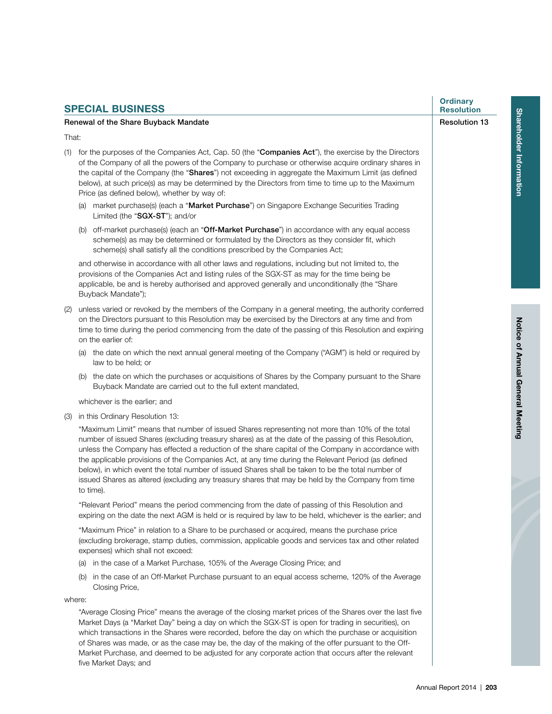| <b>SPECIAL BUSINESS</b> |                                                                                                                                                                                                                                                                                                                                                                                                                                                                                                                                                                                                                                            |                      |  |  |  |
|-------------------------|--------------------------------------------------------------------------------------------------------------------------------------------------------------------------------------------------------------------------------------------------------------------------------------------------------------------------------------------------------------------------------------------------------------------------------------------------------------------------------------------------------------------------------------------------------------------------------------------------------------------------------------------|----------------------|--|--|--|
|                         | Renewal of the Share Buyback Mandate                                                                                                                                                                                                                                                                                                                                                                                                                                                                                                                                                                                                       | <b>Resolution 13</b> |  |  |  |
| That:                   |                                                                                                                                                                                                                                                                                                                                                                                                                                                                                                                                                                                                                                            |                      |  |  |  |
|                         | (1) for the purposes of the Companies Act, Cap. 50 (the "Companies Act"), the exercise by the Directors<br>of the Company of all the powers of the Company to purchase or otherwise acquire ordinary shares in<br>the capital of the Company (the "Shares") not exceeding in aggregate the Maximum Limit (as defined<br>below), at such price(s) as may be determined by the Directors from time to time up to the Maximum<br>Price (as defined below), whether by way of:                                                                                                                                                                 |                      |  |  |  |
|                         | (a) market purchase(s) (each a "Market Purchase") on Singapore Exchange Securities Trading<br>Limited (the "SGX-ST"); and/or                                                                                                                                                                                                                                                                                                                                                                                                                                                                                                               |                      |  |  |  |
|                         | (b) off-market purchase(s) (each an "Off-Market Purchase") in accordance with any equal access<br>scheme(s) as may be determined or formulated by the Directors as they consider fit, which<br>scheme(s) shall satisfy all the conditions prescribed by the Companies Act;                                                                                                                                                                                                                                                                                                                                                                 |                      |  |  |  |
|                         | and otherwise in accordance with all other laws and regulations, including but not limited to, the<br>provisions of the Companies Act and listing rules of the SGX-ST as may for the time being be<br>applicable, be and is hereby authorised and approved generally and unconditionally (the "Share<br>Buyback Mandate");                                                                                                                                                                                                                                                                                                                 |                      |  |  |  |
| (2)                     | unless varied or revoked by the members of the Company in a general meeting, the authority conferred<br>on the Directors pursuant to this Resolution may be exercised by the Directors at any time and from<br>time to time during the period commencing from the date of the passing of this Resolution and expiring<br>on the earlier of:                                                                                                                                                                                                                                                                                                |                      |  |  |  |
|                         | (a) the date on which the next annual general meeting of the Company ("AGM") is held or required by<br>law to be held; or                                                                                                                                                                                                                                                                                                                                                                                                                                                                                                                  |                      |  |  |  |
|                         | (b) the date on which the purchases or acquisitions of Shares by the Company pursuant to the Share<br>Buyback Mandate are carried out to the full extent mandated,                                                                                                                                                                                                                                                                                                                                                                                                                                                                         |                      |  |  |  |
|                         | whichever is the earlier; and                                                                                                                                                                                                                                                                                                                                                                                                                                                                                                                                                                                                              |                      |  |  |  |
| (3)                     | in this Ordinary Resolution 13:                                                                                                                                                                                                                                                                                                                                                                                                                                                                                                                                                                                                            |                      |  |  |  |
|                         | "Maximum Limit" means that number of issued Shares representing not more than 10% of the total<br>number of issued Shares (excluding treasury shares) as at the date of the passing of this Resolution,<br>unless the Company has effected a reduction of the share capital of the Company in accordance with<br>the applicable provisions of the Companies Act, at any time during the Relevant Period (as defined<br>below), in which event the total number of issued Shares shall be taken to be the total number of<br>issued Shares as altered (excluding any treasury shares that may be held by the Company from time<br>to time). |                      |  |  |  |
|                         | "Relevant Period" means the period commencing from the date of passing of this Resolution and<br>expiring on the date the next AGM is held or is required by law to be held, whichever is the earlier; and                                                                                                                                                                                                                                                                                                                                                                                                                                 |                      |  |  |  |
|                         | "Maximum Price" in relation to a Share to be purchased or acquired, means the purchase price<br>(excluding brokerage, stamp duties, commission, applicable goods and services tax and other related<br>expenses) which shall not exceed:                                                                                                                                                                                                                                                                                                                                                                                                   |                      |  |  |  |
|                         | in the case of a Market Purchase, 105% of the Average Closing Price; and<br>(a)                                                                                                                                                                                                                                                                                                                                                                                                                                                                                                                                                            |                      |  |  |  |
|                         | in the case of an Off-Market Purchase pursuant to an equal access scheme, 120% of the Average<br>(b)<br>Closing Price,                                                                                                                                                                                                                                                                                                                                                                                                                                                                                                                     |                      |  |  |  |
|                         | where:                                                                                                                                                                                                                                                                                                                                                                                                                                                                                                                                                                                                                                     |                      |  |  |  |
|                         | "Average Closing Price" means the average of the closing market prices of the Shares over the last five<br>Market Days (a "Market Day" being a day on which the SGX-ST is open for trading in securities), on<br>which transactions in the Shares were recorded, before the day on which the purchase or acquisition                                                                                                                                                                                                                                                                                                                       |                      |  |  |  |

of Shares was made, or as the case may be, the day of the making of the offer pursuant to the Off-Market Purchase, and deemed to be adjusted for any corporate action that occurs after the relevant

# **Renewal of the Share Buyback Mandate**

five Market Days; and

**Shareholder Information Shareholder Information**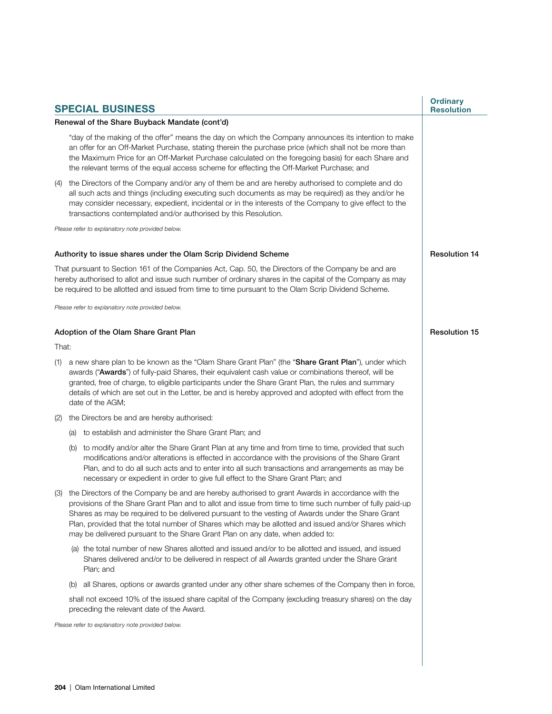|                                                                                                                                                                                                                                                                                                                        |                                                                                                                                                                                                                                                                                                                                                                                                                                                | <b>SPECIAL BUSINESS</b>                                                                                                                                                                                                                                                                                                                                                                                                                                                                                       | <b>Ordinary</b><br><b>Resolution</b> |  |  |
|------------------------------------------------------------------------------------------------------------------------------------------------------------------------------------------------------------------------------------------------------------------------------------------------------------------------|------------------------------------------------------------------------------------------------------------------------------------------------------------------------------------------------------------------------------------------------------------------------------------------------------------------------------------------------------------------------------------------------------------------------------------------------|---------------------------------------------------------------------------------------------------------------------------------------------------------------------------------------------------------------------------------------------------------------------------------------------------------------------------------------------------------------------------------------------------------------------------------------------------------------------------------------------------------------|--------------------------------------|--|--|
|                                                                                                                                                                                                                                                                                                                        |                                                                                                                                                                                                                                                                                                                                                                                                                                                | Renewal of the Share Buyback Mandate (cont'd)                                                                                                                                                                                                                                                                                                                                                                                                                                                                 |                                      |  |  |
|                                                                                                                                                                                                                                                                                                                        |                                                                                                                                                                                                                                                                                                                                                                                                                                                | "day of the making of the offer" means the day on which the Company announces its intention to make<br>an offer for an Off-Market Purchase, stating therein the purchase price (which shall not be more than<br>the Maximum Price for an Off-Market Purchase calculated on the foregoing basis) for each Share and<br>the relevant terms of the equal access scheme for effecting the Off-Market Purchase; and                                                                                                |                                      |  |  |
| (4)                                                                                                                                                                                                                                                                                                                    |                                                                                                                                                                                                                                                                                                                                                                                                                                                | the Directors of the Company and/or any of them be and are hereby authorised to complete and do<br>all such acts and things (including executing such documents as may be required) as they and/or he<br>may consider necessary, expedient, incidental or in the interests of the Company to give effect to the<br>transactions contemplated and/or authorised by this Resolution.                                                                                                                            |                                      |  |  |
| Please refer to explanatory note provided below.                                                                                                                                                                                                                                                                       |                                                                                                                                                                                                                                                                                                                                                                                                                                                |                                                                                                                                                                                                                                                                                                                                                                                                                                                                                                               |                                      |  |  |
|                                                                                                                                                                                                                                                                                                                        |                                                                                                                                                                                                                                                                                                                                                                                                                                                | Authority to issue shares under the Olam Scrip Dividend Scheme                                                                                                                                                                                                                                                                                                                                                                                                                                                | <b>Resolution 14</b>                 |  |  |
| That pursuant to Section 161 of the Companies Act, Cap. 50, the Directors of the Company be and are<br>hereby authorised to allot and issue such number of ordinary shares in the capital of the Company as may<br>be required to be allotted and issued from time to time pursuant to the Olam Scrip Dividend Scheme. |                                                                                                                                                                                                                                                                                                                                                                                                                                                |                                                                                                                                                                                                                                                                                                                                                                                                                                                                                                               |                                      |  |  |
| Please refer to explanatory note provided below.                                                                                                                                                                                                                                                                       |                                                                                                                                                                                                                                                                                                                                                                                                                                                |                                                                                                                                                                                                                                                                                                                                                                                                                                                                                                               |                                      |  |  |
| Adoption of the Olam Share Grant Plan                                                                                                                                                                                                                                                                                  | <b>Resolution 15</b>                                                                                                                                                                                                                                                                                                                                                                                                                           |                                                                                                                                                                                                                                                                                                                                                                                                                                                                                                               |                                      |  |  |
| That:                                                                                                                                                                                                                                                                                                                  |                                                                                                                                                                                                                                                                                                                                                                                                                                                |                                                                                                                                                                                                                                                                                                                                                                                                                                                                                                               |                                      |  |  |
| (1)                                                                                                                                                                                                                                                                                                                    | a new share plan to be known as the "Olam Share Grant Plan" (the "Share Grant Plan"), under which<br>awards ("Awards") of fully-paid Shares, their equivalent cash value or combinations thereof, will be<br>granted, free of charge, to eligible participants under the Share Grant Plan, the rules and summary<br>details of which are set out in the Letter, be and is hereby approved and adopted with effect from the<br>date of the AGM; |                                                                                                                                                                                                                                                                                                                                                                                                                                                                                                               |                                      |  |  |
| (2)                                                                                                                                                                                                                                                                                                                    |                                                                                                                                                                                                                                                                                                                                                                                                                                                | the Directors be and are hereby authorised:                                                                                                                                                                                                                                                                                                                                                                                                                                                                   |                                      |  |  |
|                                                                                                                                                                                                                                                                                                                        |                                                                                                                                                                                                                                                                                                                                                                                                                                                | (a) to establish and administer the Share Grant Plan; and                                                                                                                                                                                                                                                                                                                                                                                                                                                     |                                      |  |  |
|                                                                                                                                                                                                                                                                                                                        |                                                                                                                                                                                                                                                                                                                                                                                                                                                | (b) to modify and/or alter the Share Grant Plan at any time and from time to time, provided that such<br>modifications and/or alterations is effected in accordance with the provisions of the Share Grant<br>Plan, and to do all such acts and to enter into all such transactions and arrangements as may be<br>necessary or expedient in order to give full effect to the Share Grant Plan; and                                                                                                            |                                      |  |  |
|                                                                                                                                                                                                                                                                                                                        |                                                                                                                                                                                                                                                                                                                                                                                                                                                | (3) the Directors of the Company be and are hereby authorised to grant Awards in accordance with the<br>provisions of the Share Grant Plan and to allot and issue from time to time such number of fully paid-up<br>Shares as may be required to be delivered pursuant to the vesting of Awards under the Share Grant<br>Plan, provided that the total number of Shares which may be allotted and issued and/or Shares which<br>may be delivered pursuant to the Share Grant Plan on any date, when added to: |                                      |  |  |
|                                                                                                                                                                                                                                                                                                                        |                                                                                                                                                                                                                                                                                                                                                                                                                                                | (a) the total number of new Shares allotted and issued and/or to be allotted and issued, and issued<br>Shares delivered and/or to be delivered in respect of all Awards granted under the Share Grant<br>Plan; and                                                                                                                                                                                                                                                                                            |                                      |  |  |
|                                                                                                                                                                                                                                                                                                                        | (b)                                                                                                                                                                                                                                                                                                                                                                                                                                            | all Shares, options or awards granted under any other share schemes of the Company then in force,                                                                                                                                                                                                                                                                                                                                                                                                             |                                      |  |  |
|                                                                                                                                                                                                                                                                                                                        |                                                                                                                                                                                                                                                                                                                                                                                                                                                | shall not exceed 10% of the issued share capital of the Company (excluding treasury shares) on the day<br>preceding the relevant date of the Award.                                                                                                                                                                                                                                                                                                                                                           |                                      |  |  |
|                                                                                                                                                                                                                                                                                                                        | Please refer to explanatory note provided below.                                                                                                                                                                                                                                                                                                                                                                                               |                                                                                                                                                                                                                                                                                                                                                                                                                                                                                                               |                                      |  |  |
|                                                                                                                                                                                                                                                                                                                        |                                                                                                                                                                                                                                                                                                                                                                                                                                                |                                                                                                                                                                                                                                                                                                                                                                                                                                                                                                               |                                      |  |  |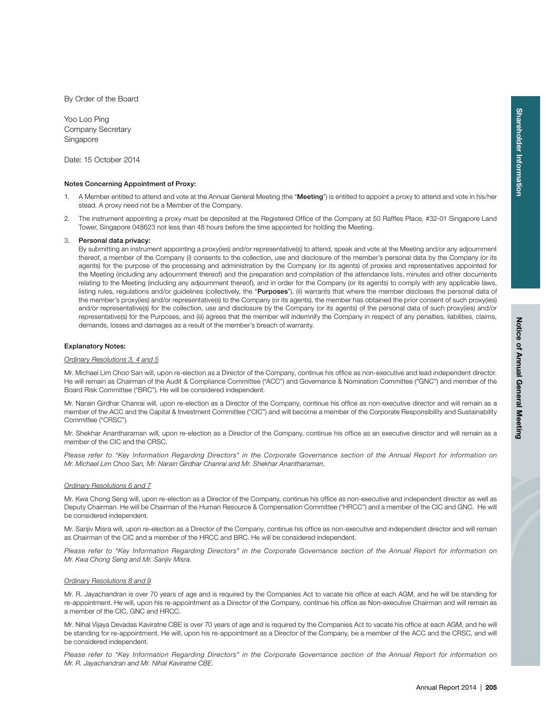By Order of the Board

Yoo Loo Ping Company Secretary Singapore

Date: 15 October 2014

# **Notes Concerning Appointment of Proxy:**

- 1. A Member entitled to attend and vote at the Annual General Meeting (the "**Meeting**") is entitled to appoint a proxy to attend and vote in his/her stead. A proxy need not be a Member of the Company.
- 2. The instrument appointing a proxy must be deposited at the Registered Office of the Company at 50 Raffles Place, #32-01 Singapore Land Tower, Singapore 048623 not less than 48 hours before the time appointed for holding the Meeting.

# 3. **Personal data privacy:**

 By submitting an instrument appointing a proxy(ies) and/or representative(s) to attend, speak and vote at the Meeting and/or any adjournment thereof, a member of the Company (i) consents to the collection, use and disclosure of the member's personal data by the Company (or its agents) for the purpose of the processing and administration by the Company (or its agents) of proxies and representatives appointed for the Meeting (including any adjournment thereof) and the preparation and compilation of the attendance lists, minutes and other documents relating to the Meeting (including any adjournment thereof), and in order for the Company (or its agents) to comply with any applicable laws, listing rules, regulations and/or guidelines (collectively, the "**Purposes**"), (ii) warrants that where the member discloses the personal data of the member's proxy(ies) and/or representative(s) to the Company (or its agents), the member has obtained the prior consent of such proxy(ies) and/or representative(s) for the collection, use and disclosure by the Company (or its agents) of the personal data of such proxy(ies) and/or representative(s) for the Purposes, and (iii) agrees that the member will indemnify the Company in respect of any penalties, liabilities, claims, demands, losses and damages as a result of the member's breach of warranty.

#### **Explanatory Notes:**

# Ordinary Resolutions 3, 4 and 5

Mr. Michael Lim Choo San will, upon re-election as a Director of the Company, continue his office as non-executive and lead independent director. He will remain as Chairman of the Audit & Compliance Committee ("ACC") and Governance & Nomination Committee ("GNC") and member of the Board Risk Committee ("BRC"). He will be considered independent.

Mr. Narain Girdhar Chanrai will, upon re-election as a Director of the Company, continue his office as non-executive director and will remain as a member of the ACC and the Capital & Investment Committee ("CIC") and will become a member of the Corporate Responsibility and Sustainability Committee ("CRSC").

Mr. Shekhar Anantharaman will, upon re-election as a Director of the Company, continue his office as an executive director and will remain as a member of the CIC and the CRSC.

Please refer to "Key Information Regarding Directors" in the Corporate Governance section of the Annual Report for information on Mr. Michael Lim Choo San, Mr. Narain Girdhar Chanrai and Mr. Shekhar Anantharaman.

#### Ordinary Resolutions 6 and 7

Mr. Kwa Chong Seng will, upon re-election as a Director of the Company, continue his office as non-executive and independent director as well as Deputy Chairman. He will be Chairman of the Human Resource & Compensation Committee ("HRCC") and a member of the CIC and GNC. He will be considered independent.

Mr. Sanjiv Misra will, upon re-election as a Director of the Company, continue his office as non-executive and independent director and will remain as Chairman of the CIC and a member of the HRCC and BRC. He will be considered independent.

Please refer to "Key Information Regarding Directors" in the Corporate Governance section of the Annual Report for information on Mr. Kwa Chong Seng and Mr. Sanjiv Misra.

# Ordinary Resolutions 8 and 9

Mr. R. Jayachandran is over 70 years of age and is required by the Companies Act to vacate his office at each AGM, and he will be standing for re-appointment. He will, upon his re-appointment as a Director of the Company, continue his office as Non-executive Chairman and will remain as a member of the CIC, GNC and HRCC.

Mr. Nihal Vijaya Devadas Kaviratne CBE is over 70 years of age and is required by the Companies Act to vacate his office at each AGM, and he will be standing for re-appointment. He will, upon his re-appointment as a Director of the Company, be a member of the ACC and the CRSC, and will be considered independent.

Please refer to "Key Information Regarding Directors" in the Corporate Governance section of the Annual Report for information on Mr. R. Jayachandran and Mr. Nihal Kaviratne CBE.